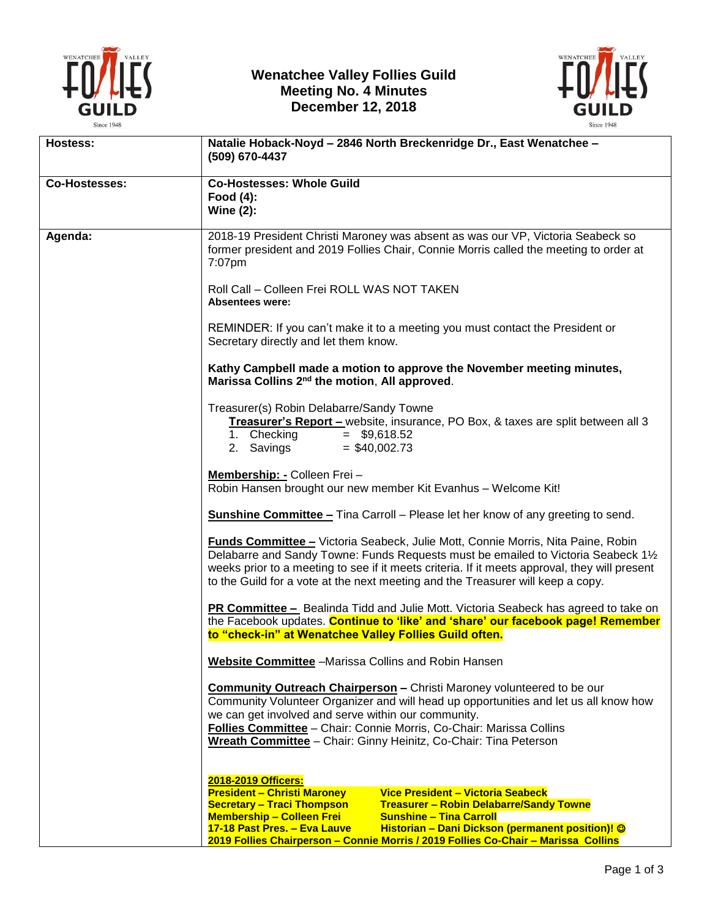

## **Wenatchee Valley Follies Guild Meeting No. 4 Minutes December 12, 2018**



| Hostess:             | Natalie Hoback-Noyd - 2846 North Breckenridge Dr., East Wenatchee -<br>(509) 670-4437                                                                                                                                                                                                                                                                                                                                                 |
|----------------------|---------------------------------------------------------------------------------------------------------------------------------------------------------------------------------------------------------------------------------------------------------------------------------------------------------------------------------------------------------------------------------------------------------------------------------------|
| <b>Co-Hostesses:</b> | <b>Co-Hostesses: Whole Guild</b><br>Food $(4)$ :<br>Wine $(2)$ :                                                                                                                                                                                                                                                                                                                                                                      |
| Agenda:              | 2018-19 President Christi Maroney was absent as was our VP, Victoria Seabeck so<br>former president and 2019 Follies Chair, Connie Morris called the meeting to order at<br>7:07pm                                                                                                                                                                                                                                                    |
|                      | Roll Call - Colleen Frei ROLL WAS NOT TAKEN<br><b>Absentees were:</b>                                                                                                                                                                                                                                                                                                                                                                 |
|                      | REMINDER: If you can't make it to a meeting you must contact the President or<br>Secretary directly and let them know.                                                                                                                                                                                                                                                                                                                |
|                      | Kathy Campbell made a motion to approve the November meeting minutes,<br>Marissa Collins 2 <sup>nd</sup> the motion, All approved.                                                                                                                                                                                                                                                                                                    |
|                      | Treasurer(s) Robin Delabarre/Sandy Towne<br>Treasurer's Report - website, insurance, PO Box, & taxes are split between all 3<br>1. Checking<br>$=$ \$9,618.52<br>2. Savings<br>$=$ \$40,002.73                                                                                                                                                                                                                                        |
|                      | Membership: - Colleen Frei -<br>Robin Hansen brought our new member Kit Evanhus - Welcome Kit!                                                                                                                                                                                                                                                                                                                                        |
|                      | <b>Sunshine Committee –</b> Tina Carroll – Please let her know of any greeting to send.                                                                                                                                                                                                                                                                                                                                               |
|                      | <b>Funds Committee - Victoria Seabeck, Julie Mott, Connie Morris, Nita Paine, Robin</b><br>Delabarre and Sandy Towne: Funds Requests must be emailed to Victoria Seabeck 11/2<br>weeks prior to a meeting to see if it meets criteria. If it meets approval, they will present<br>to the Guild for a vote at the next meeting and the Treasurer will keep a copy.                                                                     |
|                      | <b>PR Committee -</b> Bealinda Tidd and Julie Mott. Victoria Seabeck has agreed to take on<br>the Facebook updates. Continue to 'like' and 'share' our facebook page! Remember<br>to "check-in" at Wenatchee Valley Follies Guild often.                                                                                                                                                                                              |
|                      | <b>Website Committee</b> - Marissa Collins and Robin Hansen                                                                                                                                                                                                                                                                                                                                                                           |
|                      | <b>Community Outreach Chairperson</b> - Christi Maroney volunteered to be our<br>Community Volunteer Organizer and will head up opportunities and let us all know how<br>we can get involved and serve within our community.<br>Follies Committee - Chair: Connie Morris, Co-Chair: Marissa Collins<br>Wreath Committee - Chair: Ginny Heinitz, Co-Chair: Tina Peterson                                                               |
|                      | 2018-2019 Officers:<br><b>President - Christi Maroney</b><br>Vice President - Victoria Seabeck<br><b>Secretary - Traci Thompson</b><br><b>Treasurer - Robin Delabarre/Sandy Towne</b><br><b>Membership - Colleen Frei</b><br><b>Sunshine – Tina Carroll</b><br>Historian - Dani Dickson (permanent position)! ©<br>17-18 Past Pres. - Eva Lauve<br>2019 Follies Chairperson - Connie Morris / 2019 Follies Co-Chair - Marissa Collins |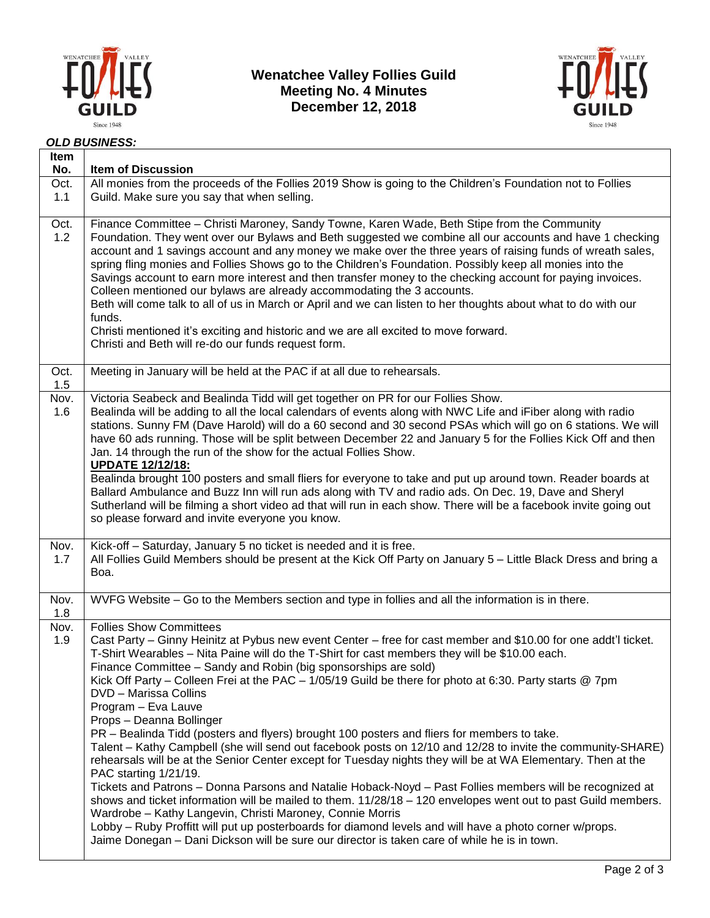

**Wenatchee Valley Follies Guild Meeting No. 4 Minutes December 12, 2018**



*OLD BUSINESS:*

| Item<br>No. | <b>Item of Discussion</b>                                                                                                                                                                                                                                                                                                                                                                                                                                                                                                                                                                                                                                                                                                                                                                                                                                                                                                                                                                                                                                                                                                                                                                                                                                                                                                                                                |
|-------------|--------------------------------------------------------------------------------------------------------------------------------------------------------------------------------------------------------------------------------------------------------------------------------------------------------------------------------------------------------------------------------------------------------------------------------------------------------------------------------------------------------------------------------------------------------------------------------------------------------------------------------------------------------------------------------------------------------------------------------------------------------------------------------------------------------------------------------------------------------------------------------------------------------------------------------------------------------------------------------------------------------------------------------------------------------------------------------------------------------------------------------------------------------------------------------------------------------------------------------------------------------------------------------------------------------------------------------------------------------------------------|
| Oct.<br>1.1 | All monies from the proceeds of the Follies 2019 Show is going to the Children's Foundation not to Follies<br>Guild. Make sure you say that when selling.                                                                                                                                                                                                                                                                                                                                                                                                                                                                                                                                                                                                                                                                                                                                                                                                                                                                                                                                                                                                                                                                                                                                                                                                                |
| Oct.<br>1.2 | Finance Committee - Christi Maroney, Sandy Towne, Karen Wade, Beth Stipe from the Community<br>Foundation. They went over our Bylaws and Beth suggested we combine all our accounts and have 1 checking<br>account and 1 savings account and any money we make over the three years of raising funds of wreath sales,<br>spring fling monies and Follies Shows go to the Children's Foundation. Possibly keep all monies into the<br>Savings account to earn more interest and then transfer money to the checking account for paying invoices.<br>Colleen mentioned our bylaws are already accommodating the 3 accounts.<br>Beth will come talk to all of us in March or April and we can listen to her thoughts about what to do with our<br>funds.<br>Christi mentioned it's exciting and historic and we are all excited to move forward.<br>Christi and Beth will re-do our funds request form.                                                                                                                                                                                                                                                                                                                                                                                                                                                                     |
| Oct.<br>1.5 | Meeting in January will be held at the PAC if at all due to rehearsals.                                                                                                                                                                                                                                                                                                                                                                                                                                                                                                                                                                                                                                                                                                                                                                                                                                                                                                                                                                                                                                                                                                                                                                                                                                                                                                  |
| Nov.<br>1.6 | Victoria Seabeck and Bealinda Tidd will get together on PR for our Follies Show.<br>Bealinda will be adding to all the local calendars of events along with NWC Life and iFiber along with radio<br>stations. Sunny FM (Dave Harold) will do a 60 second and 30 second PSAs which will go on 6 stations. We will<br>have 60 ads running. Those will be split between December 22 and January 5 for the Follies Kick Off and then<br>Jan. 14 through the run of the show for the actual Follies Show.<br><b>UPDATE 12/12/18:</b><br>Bealinda brought 100 posters and small fliers for everyone to take and put up around town. Reader boards at<br>Ballard Ambulance and Buzz Inn will run ads along with TV and radio ads. On Dec. 19, Dave and Sheryl<br>Sutherland will be filming a short video ad that will run in each show. There will be a facebook invite going out<br>so please forward and invite everyone you know.                                                                                                                                                                                                                                                                                                                                                                                                                                           |
| Nov.<br>1.7 | Kick-off - Saturday, January 5 no ticket is needed and it is free.<br>All Follies Guild Members should be present at the Kick Off Party on January 5 - Little Black Dress and bring a<br>Boa.                                                                                                                                                                                                                                                                                                                                                                                                                                                                                                                                                                                                                                                                                                                                                                                                                                                                                                                                                                                                                                                                                                                                                                            |
| Nov.<br>1.8 | WVFG Website – Go to the Members section and type in follies and all the information is in there.                                                                                                                                                                                                                                                                                                                                                                                                                                                                                                                                                                                                                                                                                                                                                                                                                                                                                                                                                                                                                                                                                                                                                                                                                                                                        |
| Nov.<br>1.9 | <b>Follies Show Committees</b><br>Cast Party – Ginny Heinitz at Pybus new event Center – free for cast member and \$10.00 for one addt'l ticket.<br>T-Shirt Wearables - Nita Paine will do the T-Shirt for cast members they will be \$10.00 each.<br>Finance Committee - Sandy and Robin (big sponsorships are sold)<br>Kick Off Party – Colleen Frei at the PAC – 1/05/19 Guild be there for photo at 6:30. Party starts @ 7pm<br>DVD - Marissa Collins<br>Program - Eva Lauve<br>Props - Deanna Bollinger<br>PR - Bealinda Tidd (posters and flyers) brought 100 posters and fliers for members to take.<br>Talent - Kathy Campbell (she will send out facebook posts on 12/10 and 12/28 to invite the community-SHARE)<br>rehearsals will be at the Senior Center except for Tuesday nights they will be at WA Elementary. Then at the<br>PAC starting 1/21/19.<br>Tickets and Patrons - Donna Parsons and Natalie Hoback-Noyd - Past Follies members will be recognized at<br>shows and ticket information will be mailed to them. 11/28/18 - 120 envelopes went out to past Guild members.<br>Wardrobe - Kathy Langevin, Christi Maroney, Connie Morris<br>Lobby - Ruby Proffitt will put up posterboards for diamond levels and will have a photo corner w/props.<br>Jaime Donegan - Dani Dickson will be sure our director is taken care of while he is in town. |